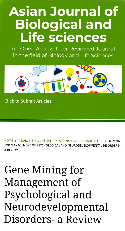## Asian Journal of Biological and Life sciences

An Open Access, Peer Reviewed Journal in the field of Biology and Life Sciences



Click to Submit Articles

HOME / ASIAN. J. BIOL. LIFE SCI, JAN-APR 2022, VOL 11, ISSUE 1 / GENE MINING FOR MANAGEMENT OF PSYCHOLOGICAL AND NEURODEVELOPMENTAL DISORDERS-**A REVIEW** 

## Gene Mining for Management of Psychological and Neurodevelopmental Disorders-a Review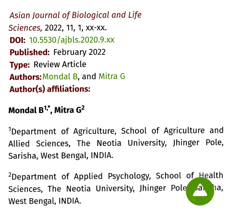Asian Journal of Biological and Life Sciences, 2022, 11, 1, xX-XX. **DOI:** 10.5530/ajbls.2020.9.xx Published: February 2022 Type: Review Article Authors: Mondal B, and Mitra G Author(s) affliations:

## Mondal  $B^{1,*}$ , Mitra  $G^2$

<sup>1</sup>Department of Agriculture, School of Agriculture and Allied Sciences, The Neotia University, Jhinger Pole, Sarisha, West Bengal, INDIA.

<sup>2</sup>Department of Applied Psychology, School of Health Sciences, The Neotia University, Jhinger Pole Ja, ha, West Bengal, INDIA.